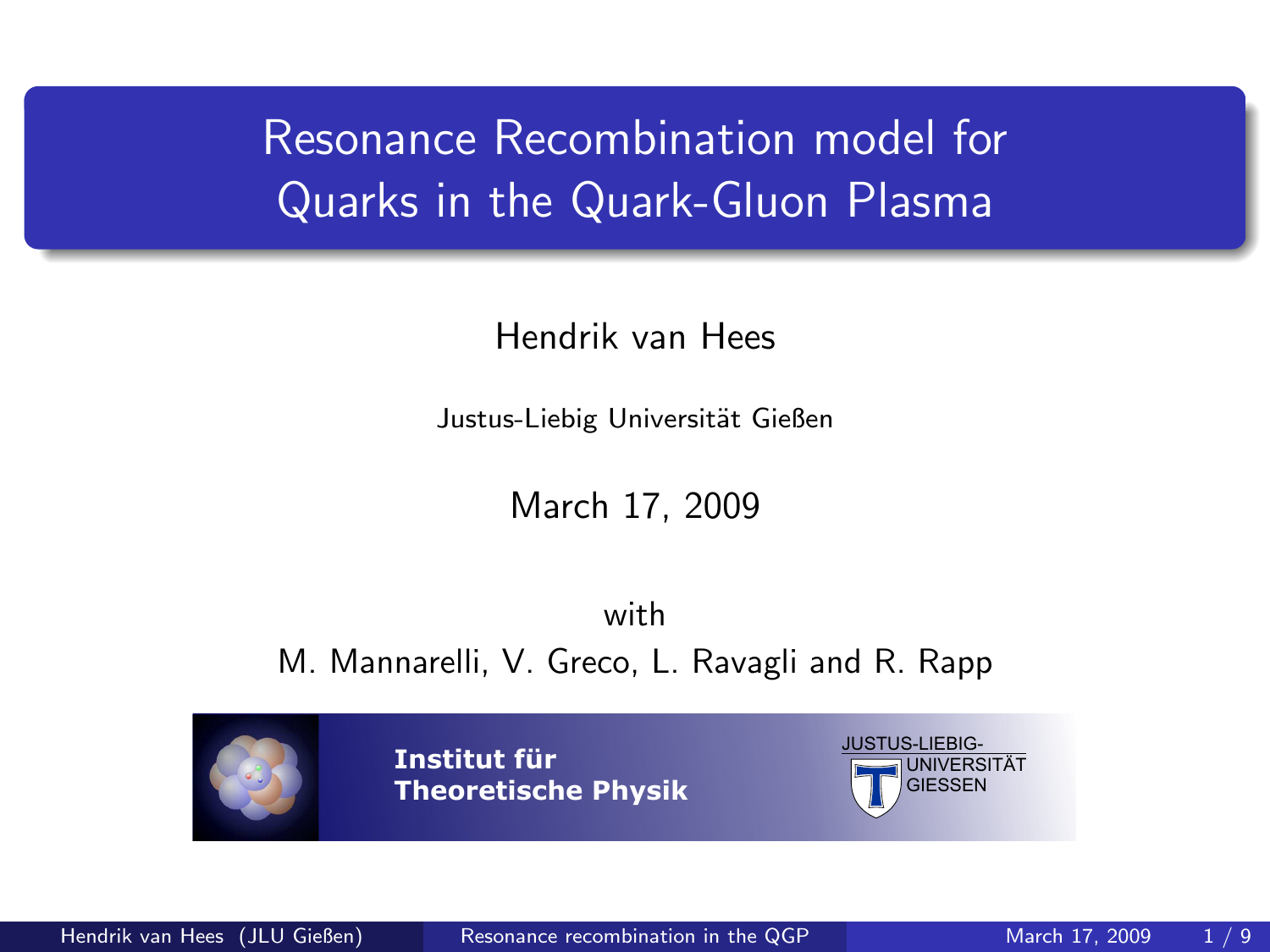# Resonance Recombination model for Quarks in the Quark-Gluon Plasma

Hendrik van Hees

Justus-Liebig Universität Gießen

<span id="page-0-0"></span>March 17, 2009

with M. Mannarelli, V. Greco, L. Ravagli and R. Rapp

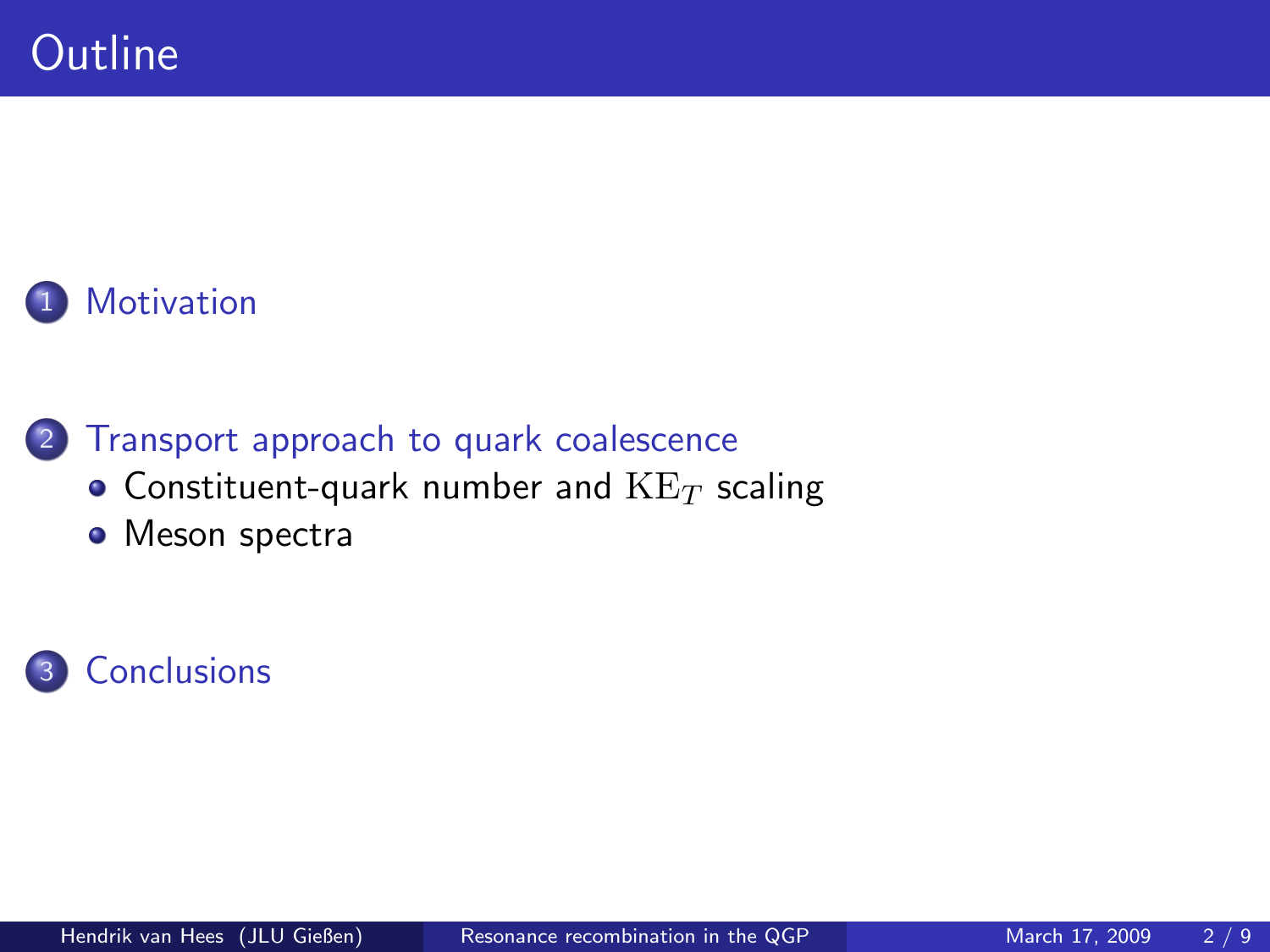

2 [Transport approach to quark coalescence](#page-4-0)

- [Constituent-quark number and](#page-5-0)  $KE_T$  scaling
- [Meson spectra](#page-7-0)

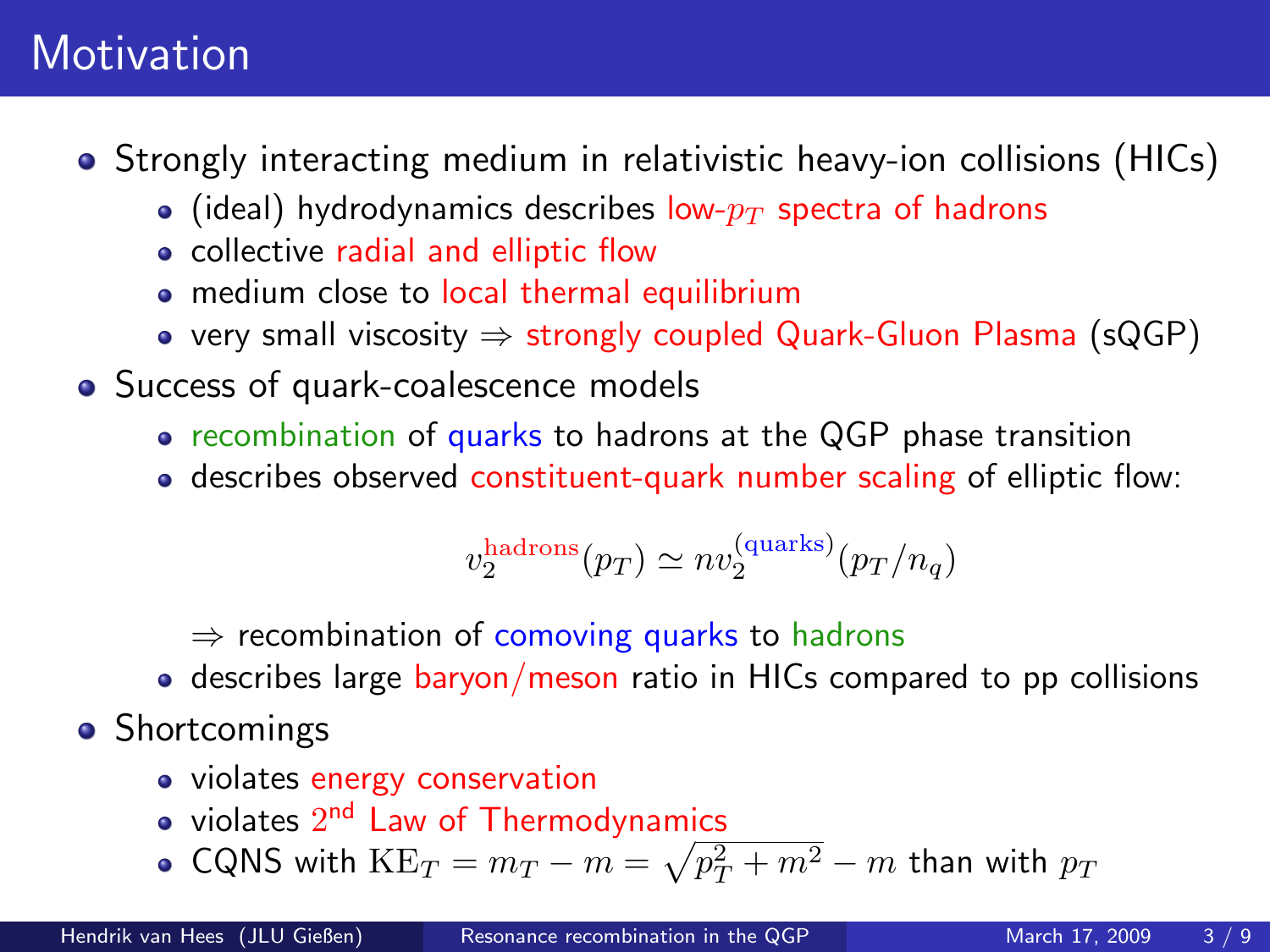## **Motivation**

- Strongly interacting medium in relativistic heavy-ion collisions (HICs)
	- (ideal) hydrodynamics describes low- $p_T$  spectra of hadrons
	- collective radial and elliptic flow
	- medium close to local thermal equilibrium
	- very small viscosity  $\Rightarrow$  strongly coupled Quark-Gluon Plasma (sQGP)
- Success of quark-coalescence models
	- recombination of quarks to hadrons at the QGP phase transition
	- describes observed constituent-quark number scaling of elliptic flow:

<span id="page-2-0"></span>
$$
v_2^{\rm hadrons}(p_T) \simeq n v_2^{\rm (quarks)}(p_T/n_q)
$$

 $\Rightarrow$  recombination of comoving quarks to hadrons

- describes large baryon/meson ratio in HICs compared to pp collisions
- Shortcomings
	- violates energy conservation
	- violates  $2^{\mathsf{nd}}$  Law of Thermodynamics
	- CQNS with  $\text{KE}_T = m_T m = \sqrt{p_T^2 + m^2} m$  than with  $p_T$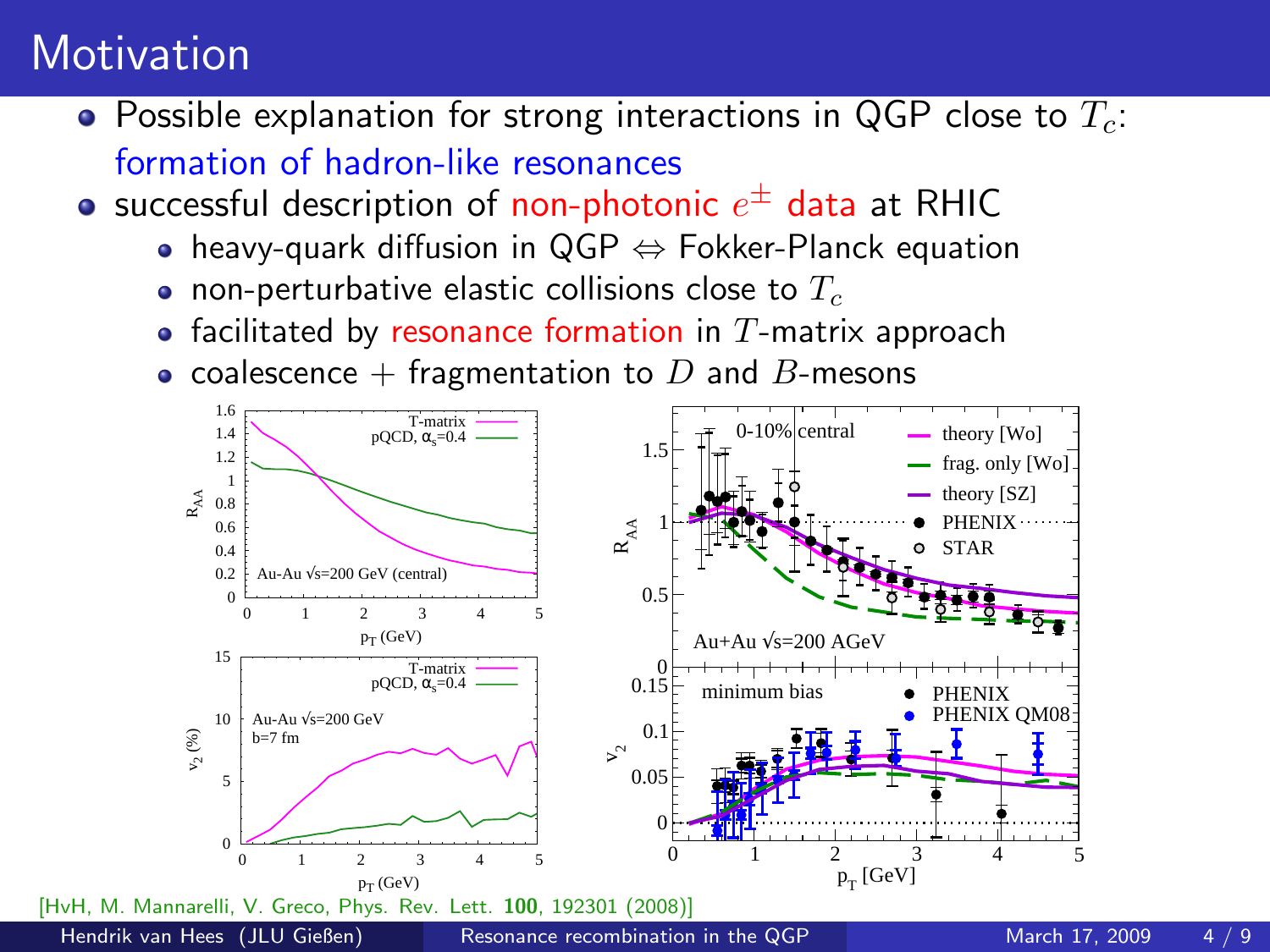### **Motivation**

- Possible explanation for strong interactions in QGP close to  $T_c$ : formation of hadron-like resonances
- successful description of non-photonic  $e^\pm$  data at RHIC
	- heavy-quark diffusion in  $QGP \Leftrightarrow Fokker-Planck$  equation
	- non-perturbative elastic collisions close to  $T_c$
	- facilitated by resonance formation in  $T$ -matrix approach
	- coalescence  $+$  fragmentation to  $D$  and  $B$ -mesons

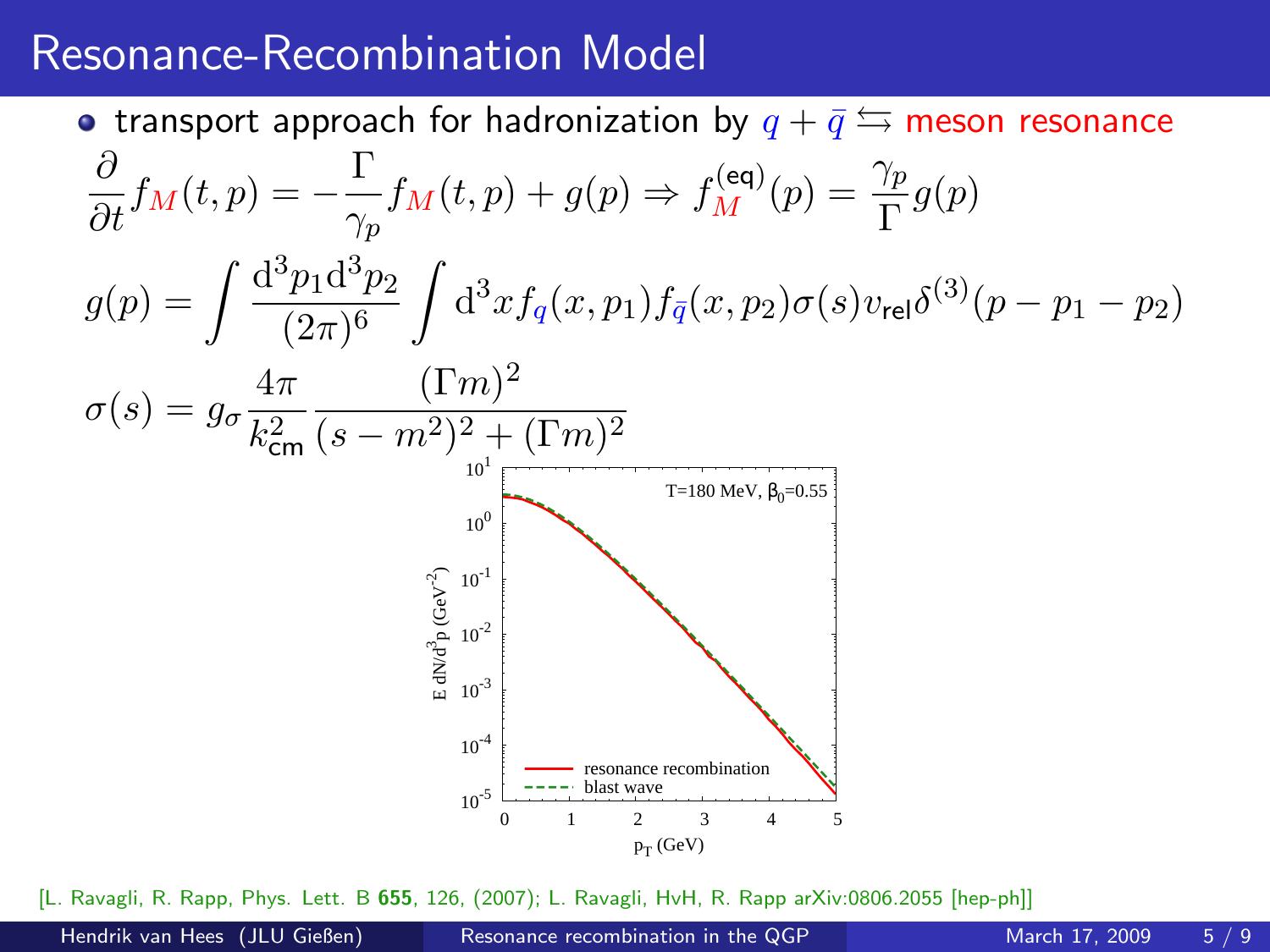#### Resonance-Recombination Model

• transport approach for hadronization by  $q + \bar{q} \leftrightarrows$  meson resonance  $\frac{\partial}{\partial t}f_M(t,p)=-\frac{\Gamma}{\gamma_p}$  $\frac{\Gamma}{\gamma_p} f_M(t,p) + g(p) \Rightarrow f_M^{(\text{eq})}(p) = \frac{\gamma_p}{\Gamma} g(p)$  $g(p) = \int \frac{d^3p_1 d^3p_2}{(2-p)^6}$  $(2\pi)^6$  $\int d^3x f_q(x, p_1) f_{\bar{q}}(x, p_2) \sigma(s) v_{\text{rel}} \delta^{(3)}(p - p_1 - p_2)$  $\sigma(s) = g_{\sigma} \frac{4\pi}{l^2}$  $k_{\mathsf{cm}}^2$  $(\Gamma m)^2$  $(s-m^2)^2 + (\Gamma m)^2$  $10^{-5}$   $\frac{1}{0}$  $10^{-4}$  $10^{-3}$  $10^{-2}$  $10^{-1}$  $10^{0}$  $10<sup>1</sup>$  0 1 2 3 4 5 E<br>Ed1  $\frac{3}{p}$  (GeV $^{-2}$ )  $p_T$  (GeV) T=180 MeV,  $β_0=0.55$ resonance recombination blast wave

[L. Ravagli, R. Rapp, Phys. Lett. B 655, 126, (2007); L. Ravagli, HvH, R. Rapp arXiv:0806.2055 [hep-ph]]

<span id="page-4-0"></span>

Hendrik van Hees (JLU Gießen) [Resonance recombination in the QGP](#page-0-0) March 17, 2009 5/9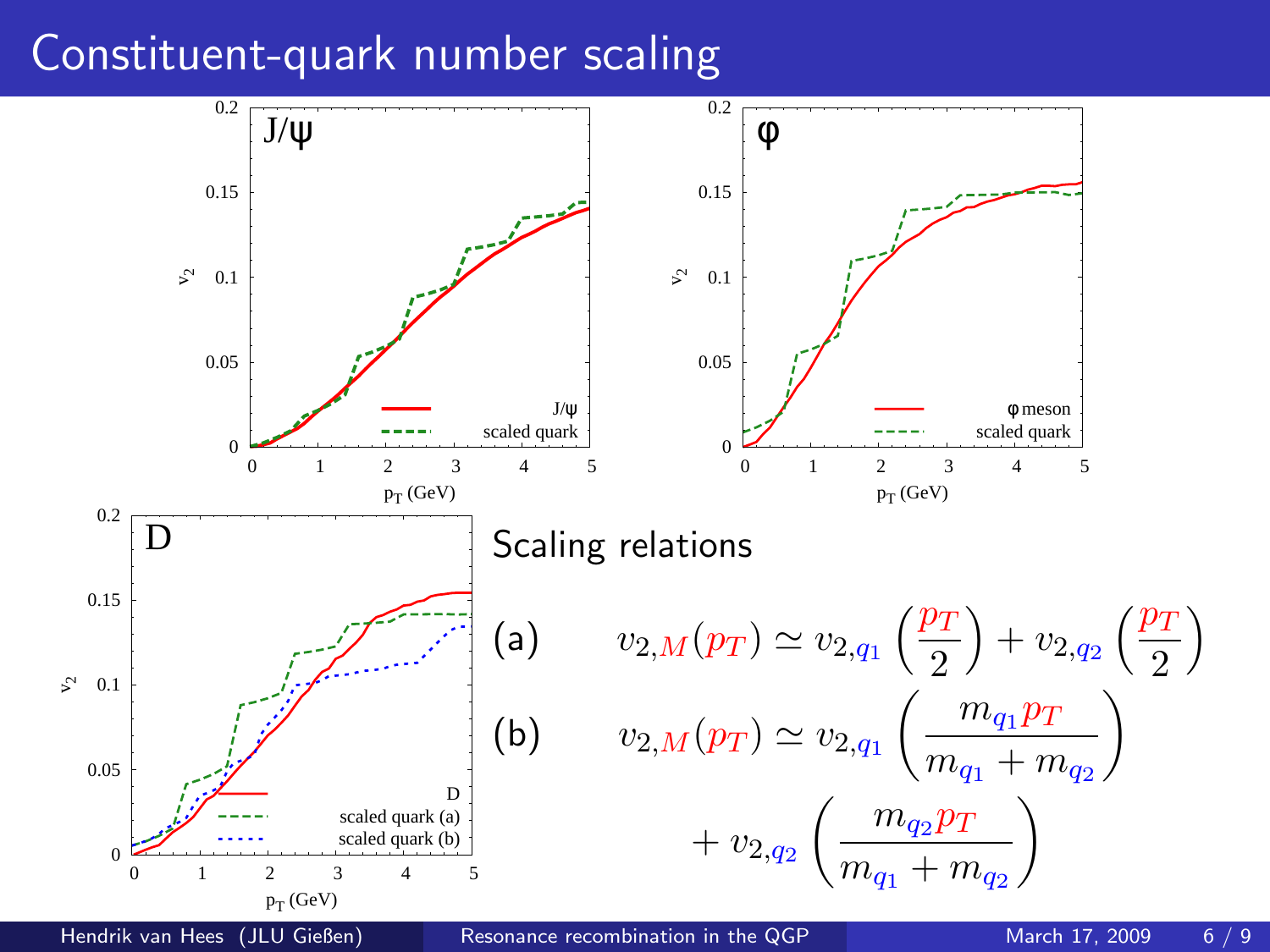### Constituent-quark number scaling



<span id="page-5-0"></span>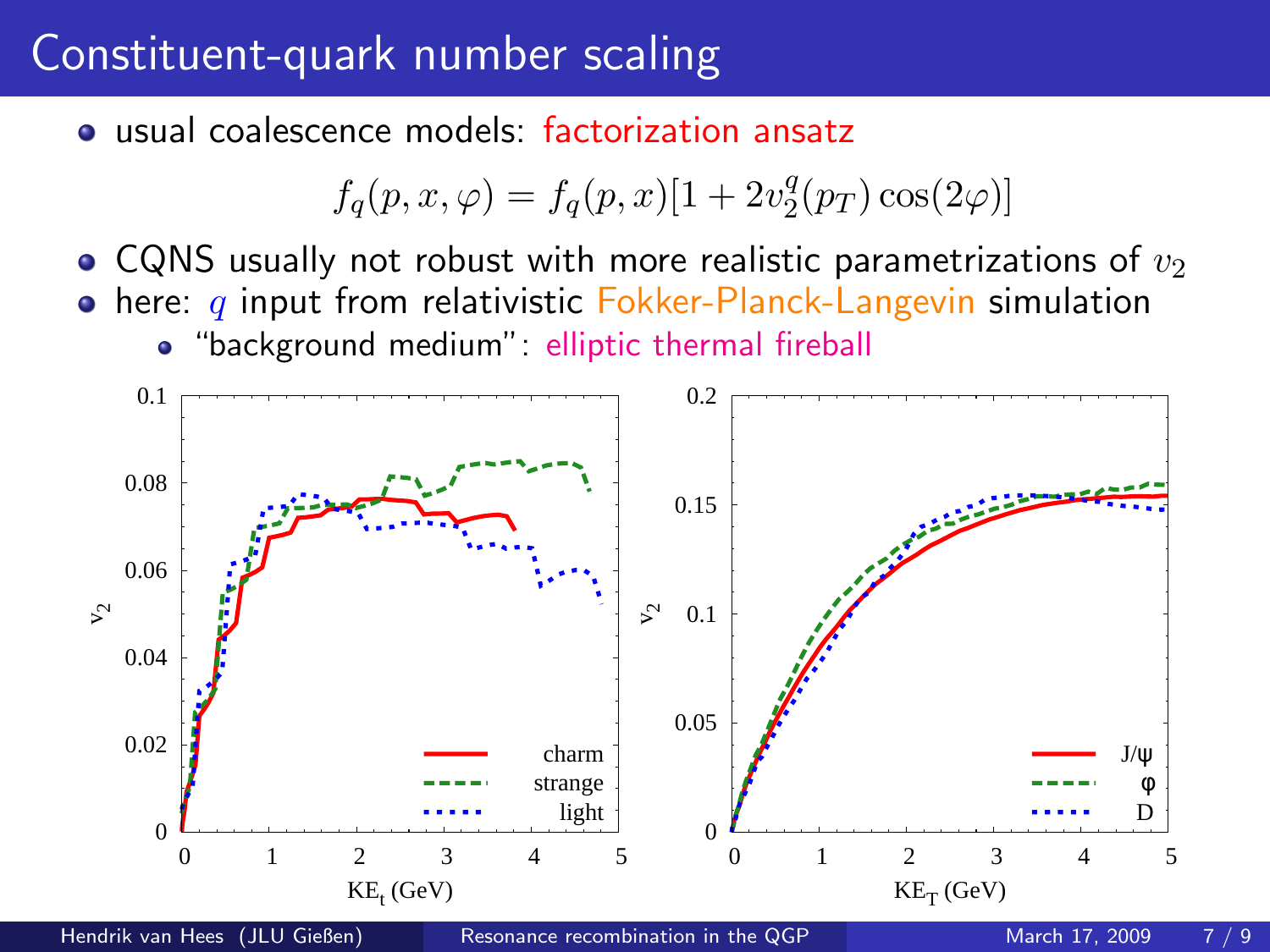### Constituent-quark number scaling

usual coalescence models: factorization ansatz

$$
f_q(p, x, \varphi) = f_q(p, x)[1 + 2v_2^q(p_T)\cos(2\varphi)]
$$

- CQNS usually not robust with more realistic parametrizations of  $v_2$
- $\bullet$  here: q input from relativistic Fokker-Planck-Langevin simulation
	- "background medium": elliptic thermal fireball

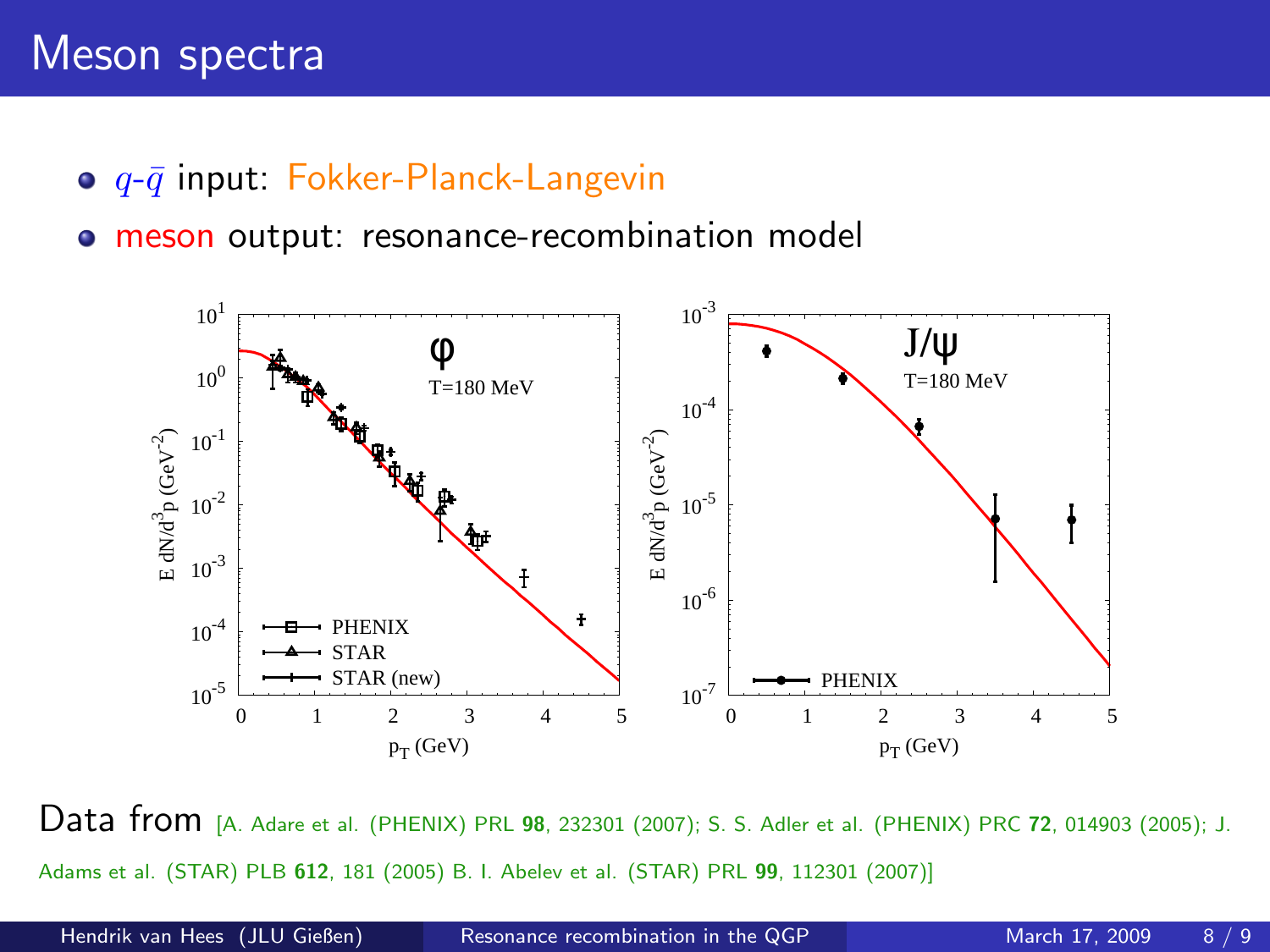#### Meson spectra

- $\bullet$   $q$ - $\bar{q}$  input: Fokker-Planck-Langevin
- **meson output: resonance-recombination model**



Data from [A. Adare et al. (PHENIX) PRL <sup>98</sup>, 232301 (2007); S. S. Adler et al. (PHENIX) PRC <sup>72</sup>, 014903 (2005); J. Adams et al. (STAR) PLB 612, 181 (2005) B. I. Abelev et al. (STAR) PRL 99, 112301 (2007)]

<span id="page-7-0"></span>

Hendrik van Hees (JLU Gießen) [Resonance recombination in the QGP](#page-0-0) March 17, 2009 8 / 9